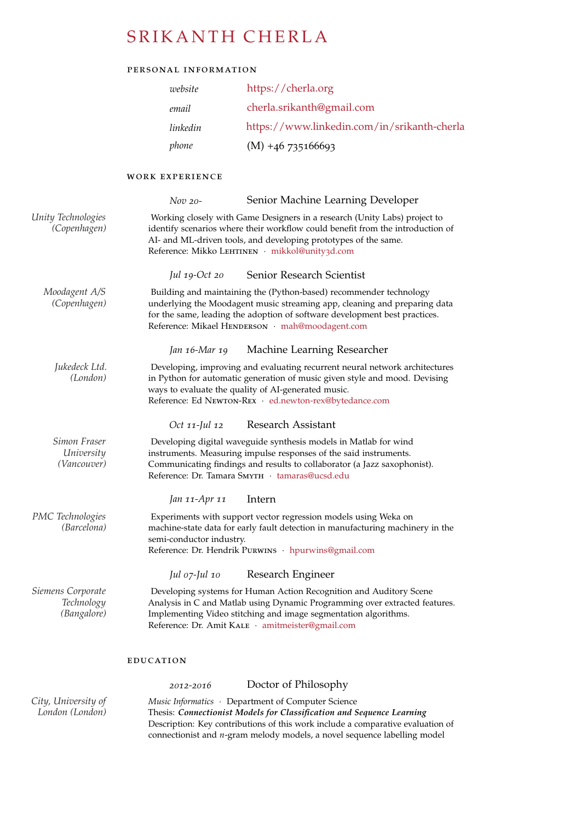# SRIKANTH CHERLA

## personal information

| website  | https://cherla.org                          |
|----------|---------------------------------------------|
| email    | cherla.srikanth@gmail.com                   |
| linkedin | https://www.linkedin.com/in/srikanth-cherla |
| phone    | $(M) +46735166693$                          |

## work experience

|                                                | Senior Machine Learning Developer<br>$Nov$ 20-                                                                                                                                                                                                                                   |
|------------------------------------------------|----------------------------------------------------------------------------------------------------------------------------------------------------------------------------------------------------------------------------------------------------------------------------------|
| Unity Technologies<br>(Copenhagen)             | Working closely with Game Designers in a research (Unity Labs) project to<br>identify scenarios where their workflow could benefit from the introduction of<br>AI- and ML-driven tools, and developing prototypes of the same.<br>Reference: Mikko LEHTINEN · mikkol@unity3d.com |
|                                                | Senior Research Scientist<br>Jul 19- $Oct$ 20                                                                                                                                                                                                                                    |
| Moodagent A/S<br>(Copenhagen)                  | Building and maintaining the (Python-based) recommender technology<br>underlying the Moodagent music streaming app, cleaning and preparing data<br>for the same, leading the adoption of software development best practices.<br>Reference: Mikael HENDERSON · mah@moodagent.com |
|                                                | Jan 16-Mar 19<br>Machine Learning Researcher                                                                                                                                                                                                                                     |
| Jukedeck Ltd.<br>(London)                      | Developing, improving and evaluating recurrent neural network architectures<br>in Python for automatic generation of music given style and mood. Devising<br>ways to evaluate the quality of AI-generated music.<br>Reference: Ed NEWTON-REX · ed.newton-rex@bytedance.com       |
|                                                | Research Assistant<br>Oct 11-Jul 12                                                                                                                                                                                                                                              |
| Simon Fraser<br>University<br>(Vancouver)      | Developing digital waveguide synthesis models in Matlab for wind<br>instruments. Measuring impulse responses of the said instruments.<br>Communicating findings and results to collaborator (a Jazz saxophonist).<br>Reference: Dr. Tamara SMYTH · tamaras@ucsd.edu              |
|                                                | Jan 11-Apr 11<br>Intern                                                                                                                                                                                                                                                          |
| PMC Technologies<br>(Barcelona)                | Experiments with support vector regression models using Weka on<br>machine-state data for early fault detection in manufacturing machinery in the<br>semi-conductor industry.<br>Reference: Dr. Hendrik Purwins · hpurwins@gmail.com                                             |
|                                                | Jul 07-Jul 10<br>Research Engineer                                                                                                                                                                                                                                               |
| Siemens Corporate<br>Technology<br>(Bangalore) | Developing systems for Human Action Recognition and Auditory Scene<br>Analysis in C and Matlab using Dynamic Programming over extracted features.<br>Implementing Video stitching and image segmentation algorithms.<br>Reference: Dr. Amit KALE · amitmeister@gmail.com         |
|                                                | <b>EDUCATION</b>                                                                                                                                                                                                                                                                 |
|                                                | Doctor of Philosophy<br>2012-2016                                                                                                                                                                                                                                                |
| City, University of                            | Music Informatics • Department of Computer Science                                                                                                                                                                                                                               |

*London (London)* Thesis: *Connectionist Models for Classification and Sequence Learning* Description: Key contributions of this work include a comparative evaluation of connectionist and *n*-gram melody models, a novel sequence labelling model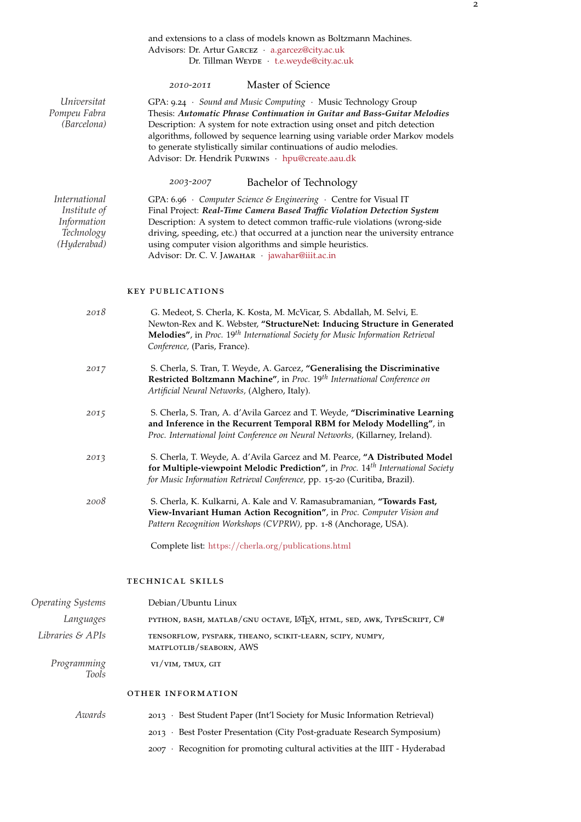### and extensions to a class of models known as Boltzmann Machines. Advisors: Dr. Artur GARCEZ · [a.garcez@city.ac.uk](mailto:a.garcez@city.ac.uk) Dr. Tillman WEYDE · [t.e.weyde@city.ac.uk](mailto:t.e.weyde@city.ac.uk)

|                                                                           | Master of Science<br>2010-2011                                                                                                                                                                                                                                                                                                                                                                                                    |
|---------------------------------------------------------------------------|-----------------------------------------------------------------------------------------------------------------------------------------------------------------------------------------------------------------------------------------------------------------------------------------------------------------------------------------------------------------------------------------------------------------------------------|
| Universitat<br>Pompeu Fabra<br>(Barcelona)                                | GPA: 9.24 · Sound and Music Computing · Music Technology Group<br>Thesis: Automatic Phrase Continuation in Guitar and Bass-Guitar Melodies<br>Description: A system for note extraction using onset and pitch detection<br>algorithms, followed by sequence learning using variable order Markov models<br>to generate stylistically similar continuations of audio melodies.<br>Advisor: Dr. Hendrik Purwins · hpu@create.aau.dk |
|                                                                           | Bachelor of Technology<br>2003-2007                                                                                                                                                                                                                                                                                                                                                                                               |
| International<br>Institute of<br>Information<br>Technology<br>(Hyderabad) | GPA: 6.96 • Computer Science & Engineering • Centre for Visual IT<br>Final Project: Real-Time Camera Based Traffic Violation Detection System<br>Description: A system to detect common traffic-rule violations (wrong-side<br>driving, speeding, etc.) that occurred at a junction near the university entrance<br>using computer vision algorithms and simple heuristics.<br>Advisor: Dr. C. V. JAWAHAR · jawahar@iiit.ac.in    |
|                                                                           | <b>KEY PUBLICATIONS</b>                                                                                                                                                                                                                                                                                                                                                                                                           |
| 2018                                                                      | G. Medeot, S. Cherla, K. Kosta, M. McVicar, S. Abdallah, M. Selvi, E.<br>Newton-Rex and K. Webster, "StructureNet: Inducing Structure in Generated<br>Melodies", in Proc. 19 <sup>th</sup> International Society for Music Information Retrieval<br>Conference, (Paris, France).                                                                                                                                                  |
| 2017                                                                      | S. Cherla, S. Tran, T. Weyde, A. Garcez, "Generalising the Discriminative<br>Restricted Boltzmann Machine", in Proc. 19 <sup>th</sup> International Conference on<br>Artificial Neural Networks, (Alghero, Italy).                                                                                                                                                                                                                |
| 2015                                                                      | S. Cherla, S. Tran, A. d'Avila Garcez and T. Weyde, "Discriminative Learning<br>and Inference in the Recurrent Temporal RBM for Melody Modelling", in<br>Proc. International Joint Conference on Neural Networks, (Killarney, Ireland).                                                                                                                                                                                           |
| 2013                                                                      | S. Cherla, T. Weyde, A. d'Avila Garcez and M. Pearce, "A Distributed Model<br>for Multiple-viewpoint Melodic Prediction", in Proc. 14 <sup>th</sup> International Society<br>for Music Information Retrieval Conference, pp. 15-20 (Curitiba, Brazil).                                                                                                                                                                            |
| 2008                                                                      | S. Cherla, K. Kulkarni, A. Kale and V. Ramasubramanian, "Towards Fast,<br>View-Invariant Human Action Recognition", in Proc. Computer Vision and<br>Pattern Recognition Workshops (CVPRW), pp. 1-8 (Anchorage, USA).                                                                                                                                                                                                              |
|                                                                           | Complete list: https://cherla.org/publications.html                                                                                                                                                                                                                                                                                                                                                                               |
|                                                                           | TECHNICAL SKILLS                                                                                                                                                                                                                                                                                                                                                                                                                  |
| <b>Operating Systems</b>                                                  | Debian/Ubuntu Linux                                                                                                                                                                                                                                                                                                                                                                                                               |
| Lanouaoes                                                                 | PYTHON BASH MATLAR/CNU OCTAVE LATEX HTML SED AWK TYPESCRIPT C#                                                                                                                                                                                                                                                                                                                                                                    |

*Languages* python, bash, matlab/gnu octave, LATEX, html, sed, awk, TypeScript, C# *Libraries & APIs* TENSORFLOW, PYSPARK, THEANO, SCIKIT-LEARN, SCIPY, NUMPY, matplotlib/seaborn, AWS Programming **vi/vim, TMUX, GIT** *Tools*

### other information

| Awards | 2013 · Best Student Paper (Int'l Society for Music Information Retrieval)    |
|--------|------------------------------------------------------------------------------|
|        | 2013 • Best Poster Presentation (City Post-graduate Research Symposium)      |
|        | 2007 · Recognition for promoting cultural activities at the IIIT - Hyderabad |